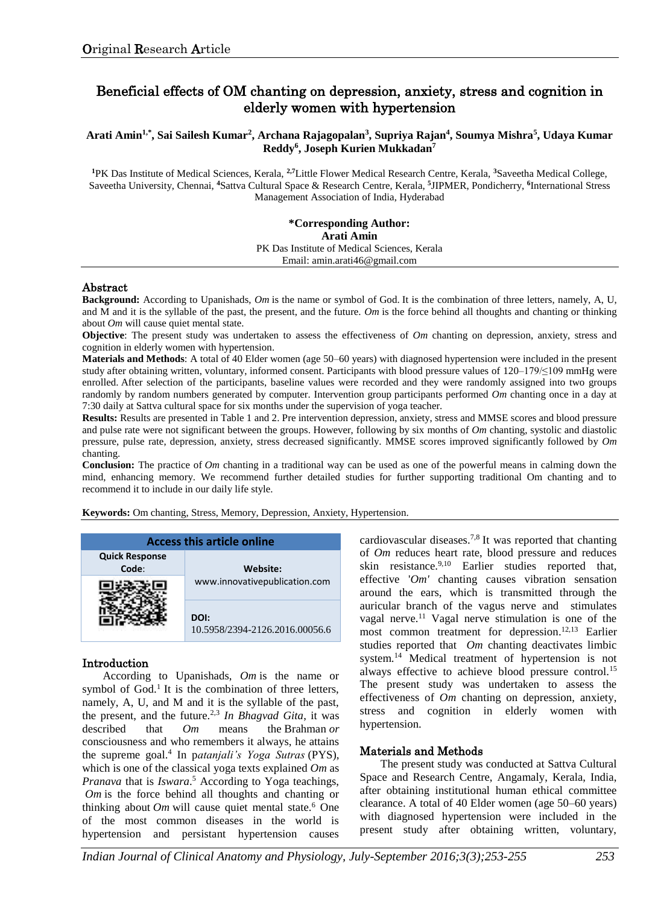# Beneficial effects of OM chanting on depression, anxiety, stress and cognition in elderly women with hypertension

# **Arati Amin1,\* , Sai Sailesh Kumar<sup>2</sup> , Archana Rajagopalan<sup>3</sup> , Supriya Rajan<sup>4</sup> , Soumya Mishra<sup>5</sup> , Udaya Kumar Reddy<sup>6</sup> , Joseph Kurien Mukkadan<sup>7</sup>**

**<sup>1</sup>**PK Das Institute of Medical Sciences, Kerala, **2,7**Little Flower Medical Research Centre, Kerala, **<sup>3</sup>**Saveetha Medical College, Saveetha University, Chennai, **<sup>4</sup>**Sattva Cultural Space & Research Centre, Kerala, **5** JIPMER, Pondicherry, **<sup>6</sup>** International Stress Management Association of India, Hyderabad

#### **\*Corresponding Author: Arati Amin** PK Das Institute of Medical Sciences, Kerala Email: amin.arati46@gmail.com

#### Abstract

**Background:** According to Upanishads, *Om* is the name or symbol of God. It is the combination of three letters, namely, A, U, and M and it is the syllable of the past, the present, and the future. *Om* is the force behind all thoughts and chanting or thinking about *Om* will cause quiet mental state.

**Objective**: The present study was undertaken to assess the effectiveness of *Om* chanting on depression, anxiety, stress and cognition in elderly women with hypertension.

**Materials and Methods**: A total of 40 Elder women (age 50–60 years) with diagnosed hypertension were included in the present study after obtaining written, voluntary, informed consent. Participants with blood pressure values of 120–179/≤109 mmHg were enrolled. After selection of the participants, baseline values were recorded and they were randomly assigned into two groups randomly by random numbers generated by computer. Intervention group participants performed *Om* chanting once in a day at 7:30 daily at Sattva cultural space for six months under the supervision of yoga teacher.

**Results:** Results are presented in Table 1 and 2. Pre intervention depression, anxiety, stress and MMSE scores and blood pressure and pulse rate were not significant between the groups. However, following by six months of *Om* chanting, systolic and diastolic pressure, pulse rate, depression, anxiety, stress decreased significantly. MMSE scores improved significantly followed by *Om* chanting.

**Conclusion:** The practice of *Om* chanting in a traditional way can be used as one of the powerful means in calming down the mind, enhancing memory. We recommend further detailed studies for further supporting traditional Om chanting and to recommend it to include in our daily life style.

**Keywords:** Om chanting, Stress, Memory, Depression, Anxiety, Hypertension.



## Introduction

According to Upanishads, *Om* is the name or symbol of  $God<sup>1</sup>$  It is the combination of three letters, namely, A, U, and M and it is the syllable of the past, the present, and the future.2,3 *In Bhagvad Gita*, it was described that *Om* means the Brahman *or*  consciousness and who remembers it always, he attains the supreme goal. 4 In p*atanjali's Yoga Sutras* (PYS), which is one of the classical yoga texts explained *Om* as *Pranava* that is *Iswara*. <sup>5</sup> According to Yoga teachings, *Om* is the force behind all thoughts and chanting or thinking about  $Om$  will cause quiet mental state.<sup>6</sup> One of the most common diseases in the world is hypertension and persistant hypertension causes

cardiovascular diseases.7,8 It was reported that chanting of *Om* reduces heart rate, blood pressure and reduces skin resistance.<sup>9,10</sup> Earlier studies reported that, effective '*Om'* chanting causes vibration sensation around the ears, which is transmitted through the auricular branch of the vagus nerve and stimulates vagal nerve.<sup>11</sup> Vagal nerve stimulation is one of the most common treatment for depression. 12,13 Earlier studies reported that *Om* chanting deactivates limbic system. <sup>14</sup> Medical treatment of hypertension is not always effective to achieve blood pressure control.<sup>15</sup> The present study was undertaken to assess the effectiveness of *Om* chanting on depression, anxiety, stress and cognition in elderly women with hypertension.

# Materials and Methods

The present study was conducted at Sattva Cultural Space and Research Centre, Angamaly, Kerala, India, after obtaining institutional human ethical committee clearance. A total of 40 Elder women (age 50–60 years) with diagnosed hypertension were included in the present study after obtaining written, voluntary,

*Indian Journal of Clinical Anatomy and Physiology, July-September 2016;3(3);253-255 253*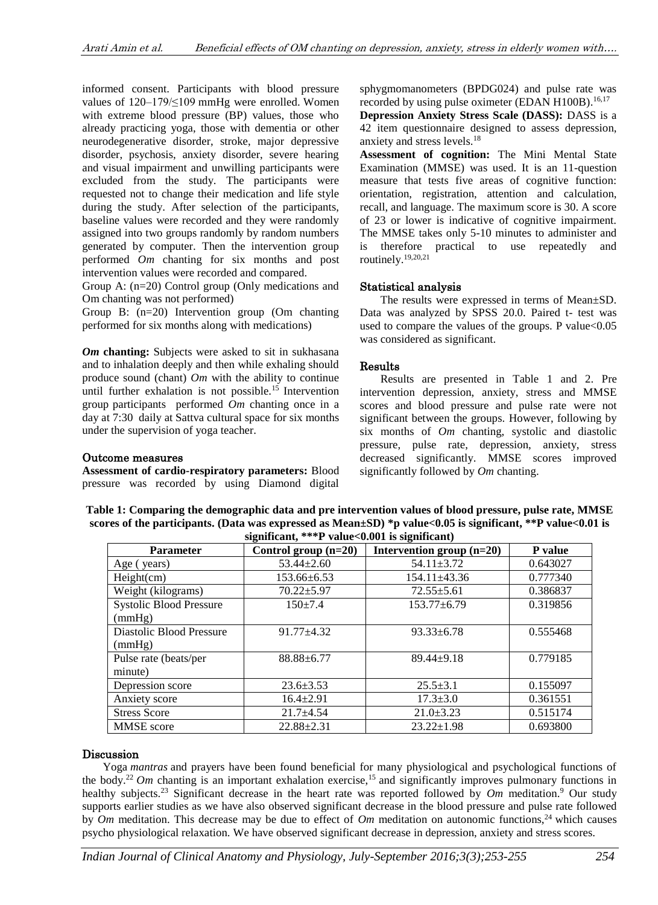informed consent. Participants with blood pressure values of 120–179/≤109 mmHg were enrolled. Women with extreme blood pressure (BP) values, those who already practicing yoga, those with dementia or other neurodegenerative disorder, stroke, major depressive disorder, psychosis, anxiety disorder, severe hearing and visual impairment and unwilling participants were excluded from the study. The participants were requested not to change their medication and life style during the study. After selection of the participants, baseline values were recorded and they were randomly assigned into two groups randomly by random numbers generated by computer. Then the intervention group performed *Om* chanting for six months and post intervention values were recorded and compared.

Group A: (n=20) Control group (Only medications and Om chanting was not performed)

Group B: (n=20) Intervention group (Om chanting performed for six months along with medications)

*Om* **chanting:** Subjects were asked to sit in sukhasana and to inhalation deeply and then while exhaling should produce sound (chant) *Om* with the ability to continue until further exhalation is not possible.<sup>15</sup> Intervention group participants performed *Om* chanting once in a day at 7:30 daily at Sattva cultural space for six months under the supervision of yoga teacher.

sphygmomanometers (BPDG024) and pulse rate was recorded by using pulse oximeter (EDAN H100B).<sup>16,17</sup>

**Depression Anxiety Stress Scale (DASS):** DASS is a 42 item questionnaire designed to assess depression, anxiety and stress levels.<sup>18</sup>

**Assessment of cognition:** The Mini Mental State Examination (MMSE) was used. It is an 11-question measure that tests five areas of cognitive function: orientation, registration, attention and calculation, recall, and language. The maximum score is 30. A score of 23 or lower is indicative of cognitive impairment. The MMSE takes only 5-10 minutes to administer and is therefore practical to use repeatedly and routinely.19,20,21

# Statistical analysis

The results were expressed in terms of Mean±SD. Data was analyzed by SPSS 20.0. Paired t- test was used to compare the values of the groups. P value<0.05 was considered as significant.

# Results

Results are presented in Table 1 and 2. Pre intervention depression, anxiety, stress and MMSE scores and blood pressure and pulse rate were not significant between the groups. However, following by six months of *Om* chanting, systolic and diastolic pressure, pulse rate, depression, anxiety, stress decreased significantly. MMSE scores improved significantly followed by *Om* chanting.

## Outcome measures

**Assessment of cardio-respiratory parameters:** Blood pressure was recorded by using Diamond digital

**Table 1: Comparing the demographic data and pre intervention values of blood pressure, pulse rate, MMSE scores of the participants. (Data was expressed as Mean±SD) \*p value<0.05 is significant, \*\*P value<0.01 is significant, \*\*\*P value<0.001 is significant)**

| меницани,<br>$\bf{l}$ values $\bf{0.001}$ is significally |                        |                             |          |
|-----------------------------------------------------------|------------------------|-----------------------------|----------|
| <b>Parameter</b>                                          | Control group $(n=20)$ | Intervention group $(n=20)$ | P value  |
| Age (years)                                               | $53.44 \pm 2.60$       | $54.11 \pm 3.72$            | 0.643027 |
| Height(cm)                                                | $153.66 \pm 6.53$      | $154.11 \pm 43.36$          | 0.777340 |
| Weight (kilograms)                                        | $70.22 \pm 5.97$       | $72.55 \pm 5.61$            | 0.386837 |
| <b>Systolic Blood Pressure</b>                            | $150+7.4$              | $153.77 + 6.79$             | 0.319856 |
| (mmHg)                                                    |                        |                             |          |
| Diastolic Blood Pressure                                  | $91.77 + 4.32$         | $93.33 \pm 6.78$            | 0.555468 |
| (mmHg)                                                    |                        |                             |          |
| Pulse rate (beats/per                                     | $88.88 \pm 6.77$       | $89.44 \pm 9.18$            | 0.779185 |
| minute)                                                   |                        |                             |          |
| Depression score                                          | $23.6 \pm 3.53$        | $25.5 \pm 3.1$              | 0.155097 |
| Anxiety score                                             | $16.4 \pm 2.91$        | $17.3 \pm 3.0$              | 0.361551 |
| <b>Stress Score</b>                                       | $21.7 + 4.54$          | $21.0 \pm 3.23$             | 0.515174 |
| <b>MMSE</b> score                                         | $22.88 \pm 2.31$       | $23.22 \pm 1.98$            | 0.693800 |

## Discussion

Yoga *mantras* and prayers have been found beneficial for many physiological and psychological functions of the body.<sup>22</sup> Om chanting is an important exhalation exercise,<sup>15</sup> and significantly improves pulmonary functions in healthy subjects.<sup>23</sup> Significant decrease in the heart rate was reported followed by *Om* meditation.<sup>9</sup> Our study supports earlier studies as we have also observed significant decrease in the blood pressure and pulse rate followed by *Om* meditation. This decrease may be due to effect of *Om* meditation on autonomic functions,<sup>24</sup> which causes psycho physiological relaxation. We have observed significant decrease in depression, anxiety and stress scores.